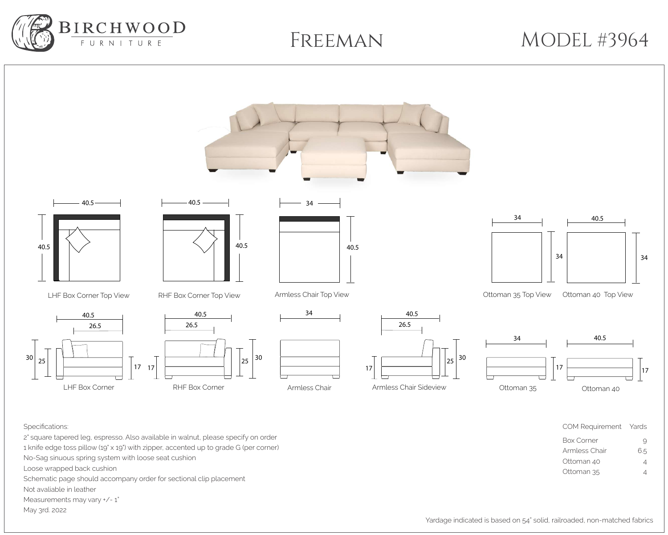## MODEL #3964

Armless Chair 6.5 Ottoman 40 4

Ottoman 35 4

1 knife edge toss pillow (19" x 19") with zipper, accented up to grade G (per corner) No-Sag sinuous spring system with loose seat cushion Loose wrapped back cushion Schematic page should accompany order for sectional clip placement

Not avaliable in leather

Measurements may vary  $+/- 1"$ 

May 3rd. 2022





Freeman

Yardage indicated is based on 54" solid, railroaded, non-matched fabrics